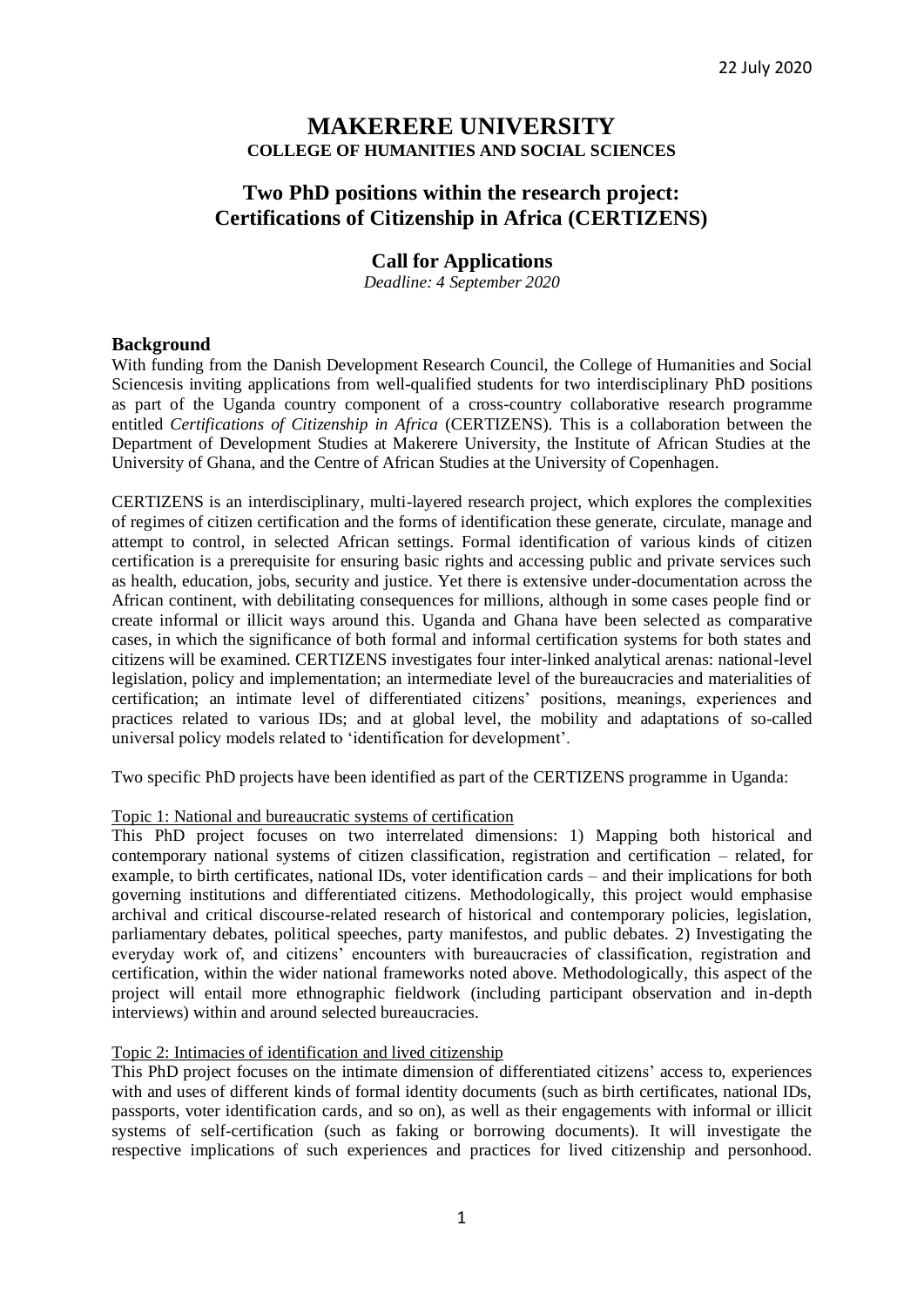## **MAKERERE UNIVERSITY COLLEGE OF HUMANITIES AND SOCIAL SCIENCES**

# **Two PhD positions within the research project: Certifications of Citizenship in Africa (CERTIZENS)**

## **Call for Applications**

*Deadline: 4 September 2020*

## **Background**

With funding from the Danish Development Research Council, the College of Humanities and Social Sciencesis inviting applications from well-qualified students for two interdisciplinary PhD positions as part of the Uganda country component of a cross-country collaborative research programme entitled *Certifications of Citizenship in Africa* (CERTIZENS). This is a collaboration between the Department of Development Studies at Makerere University, the Institute of African Studies at the University of Ghana, and the Centre of African Studies at the University of Copenhagen.

CERTIZENS is an interdisciplinary, multi-layered research project, which explores the complexities of regimes of citizen certification and the forms of identification these generate, circulate, manage and attempt to control, in selected African settings. Formal identification of various kinds of citizen certification is a prerequisite for ensuring basic rights and accessing public and private services such as health, education, jobs, security and justice. Yet there is extensive under-documentation across the African continent, with debilitating consequences for millions, although in some cases people find or create informal or illicit ways around this. Uganda and Ghana have been selected as comparative cases, in which the significance of both formal and informal certification systems for both states and citizens will be examined. CERTIZENS investigates four inter-linked analytical arenas: national-level legislation, policy and implementation; an intermediate level of the bureaucracies and materialities of certification; an intimate level of differentiated citizens' positions, meanings, experiences and practices related to various IDs; and at global level, the mobility and adaptations of so-called universal policy models related to 'identification for development'.

Two specific PhD projects have been identified as part of the CERTIZENS programme in Uganda:

### Topic 1: National and bureaucratic systems of certification

This PhD project focuses on two interrelated dimensions: 1) Mapping both historical and contemporary national systems of citizen classification, registration and certification – related, for example, to birth certificates, national IDs, voter identification cards – and their implications for both governing institutions and differentiated citizens. Methodologically, this project would emphasise archival and critical discourse-related research of historical and contemporary policies, legislation, parliamentary debates, political speeches, party manifestos, and public debates. 2) Investigating the everyday work of, and citizens' encounters with bureaucracies of classification, registration and certification, within the wider national frameworks noted above. Methodologically, this aspect of the project will entail more ethnographic fieldwork (including participant observation and in-depth interviews) within and around selected bureaucracies.

### Topic 2: Intimacies of identification and lived citizenship

This PhD project focuses on the intimate dimension of differentiated citizens' access to, experiences with and uses of different kinds of formal identity documents (such as birth certificates, national IDs, passports, voter identification cards, and so on), as well as their engagements with informal or illicit systems of self-certification (such as faking or borrowing documents). It will investigate the respective implications of such experiences and practices for lived citizenship and personhood.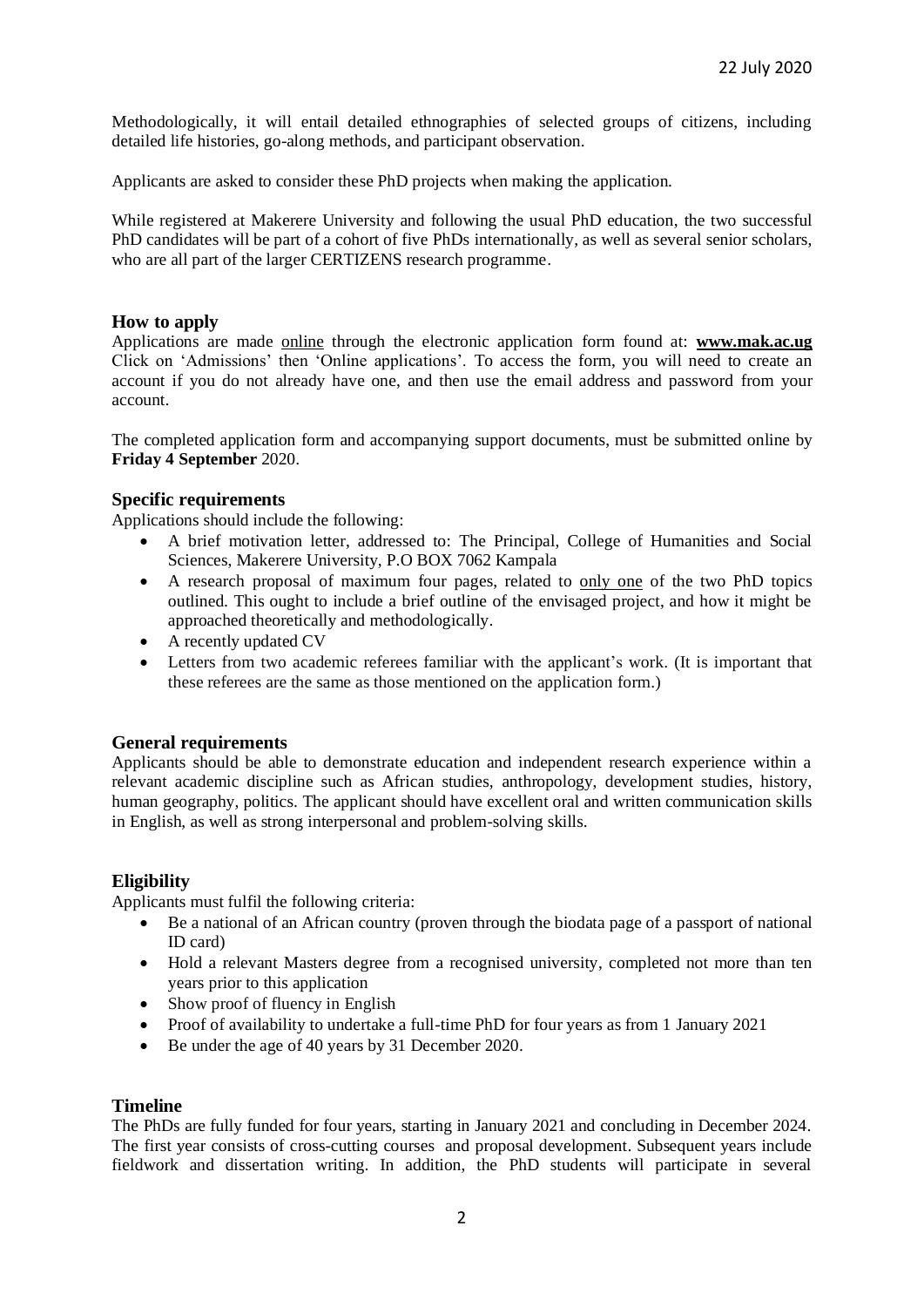Methodologically, it will entail detailed ethnographies of selected groups of citizens, including detailed life histories, go-along methods, and participant observation.

Applicants are asked to consider these PhD projects when making the application.

While registered at Makerere University and following the usual PhD education, the two successful PhD candidates will be part of a cohort of five PhDs internationally, as well as several senior scholars, who are all part of the larger CERTIZENS research programme.

## **How to apply**

Applications are made online through the electronic application form found at: **[www.mak.ac.ug](http://www.mak.ac.ug/)** Click on 'Admissions' then 'Online applications'. To access the form, you will need to create an account if you do not already have one, and then use the email address and password from your account.

The completed application form and accompanying support documents, must be submitted online by **Friday 4 September** 2020.

### **Specific requirements**

Applications should include the following:

- A brief motivation letter, addressed to: The Principal, College of Humanities and Social Sciences, Makerere University, P.O BOX 7062 Kampala
- A research proposal of maximum four pages, related to only one of the two PhD topics outlined. This ought to include a brief outline of the envisaged project, and how it might be approached theoretically and methodologically.
- A recently updated CV
- Letters from two academic referees familiar with the applicant's work. (It is important that these referees are the same as those mentioned on the application form.)

### **General requirements**

Applicants should be able to demonstrate education and independent research experience within a relevant academic discipline such as African studies, anthropology, development studies, history, human geography, politics. The applicant should have excellent oral and written communication skills in English, as well as strong interpersonal and problem-solving skills.

## **Eligibility**

Applicants must fulfil the following criteria:

- Be a national of an African country (proven through the biodata page of a passport of national ID card)
- Hold a relevant Masters degree from a recognised university, completed not more than ten years prior to this application
- Show proof of fluency in English
- Proof of availability to undertake a full-time PhD for four years as from 1 January 2021
- Be under the age of 40 years by 31 December 2020.

### **Timeline**

The PhDs are fully funded for four years, starting in January 2021 and concluding in December 2024. The first year consists of cross-cutting courses and proposal development. Subsequent years include fieldwork and dissertation writing. In addition, the PhD students will participate in several